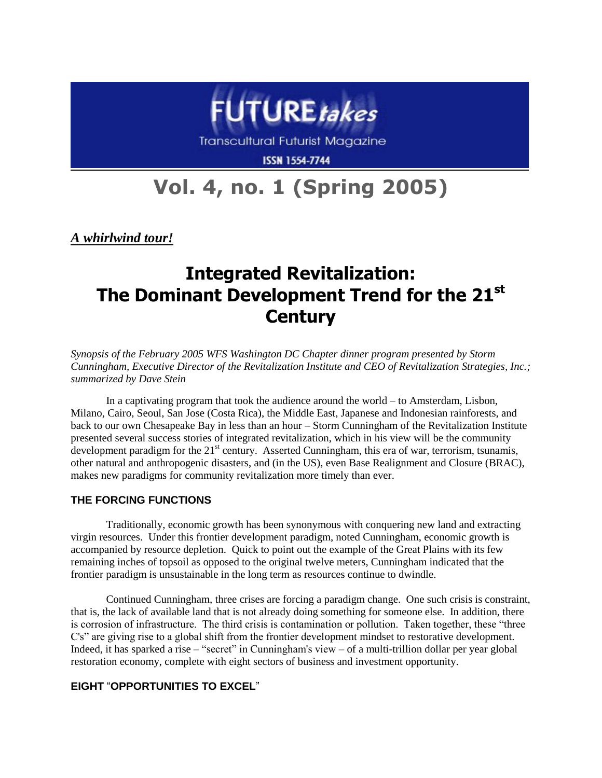

**Transcultural Futurist Magazine** 

**ISSN 1554-7744** 

# **Vol. 4, no. 1 (Spring 2005)**

*A whirlwind tour!*

# **Integrated Revitalization: The Dominant Development Trend for the 21st Century**

*Synopsis of the February 2005 WFS Washington DC Chapter dinner program presented by Storm Cunningham, Executive Director of the [Revitalization Institute](http://www.revitalizationinstitute.org/) and CEO of [Revitalization Strategies, Inc.;](http://www.revitalizationstrategies.com/) summarized by Dave Stein*

In a captivating program that took the audience around the world – to Amsterdam, Lisbon, Milano, Cairo, Seoul, San Jose (Costa Rica), the Middle East, Japanese and Indonesian rainforests, and back to our own Chesapeake Bay in less than an hour – Storm Cunningham of the Revitalization Institute presented several success stories of integrated revitalization, which in his view will be the community development paradigm for the  $21<sup>st</sup>$  century. Asserted Cunningham, this era of war, terrorism, tsunamis, other natural and anthropogenic disasters, and (in the US), even Base Realignment and Closure (BRAC), makes new paradigms for community revitalization more timely than ever.

# **THE FORCING FUNCTIONS**

Traditionally, economic growth has been synonymous with conquering new land and extracting virgin resources. Under this frontier development paradigm, noted Cunningham, economic growth is accompanied by resource depletion. Quick to point out the example of the Great Plains with its few remaining inches of topsoil as opposed to the original twelve meters, Cunningham indicated that the frontier paradigm is unsustainable in the long term as resources continue to dwindle.

Continued Cunningham, three crises are forcing a paradigm change. One such crisis is constraint, that is, the lack of available land that is not already doing something for someone else. In addition, there is corrosion of infrastructure. The third crisis is contamination or pollution. Taken together, these "three C's" are giving rise to a global shift from the frontier development mindset to restorative development. Indeed, it has sparked a rise – "secret" in Cunningham's view – of a multi-trillion dollar per year global restoration economy, complete with eight sectors of business and investment opportunity.

# **EIGHT** "**OPPORTUNITIES TO EXCEL**"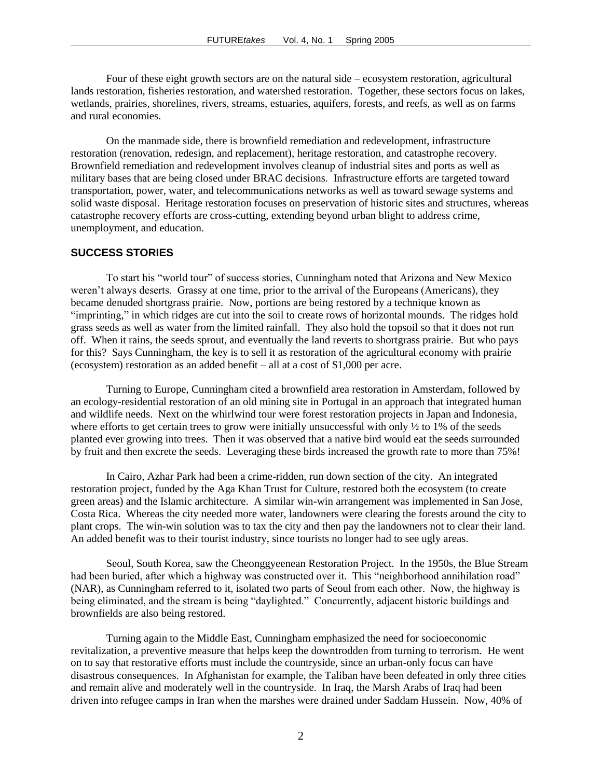Four of these eight growth sectors are on the natural side – ecosystem restoration, agricultural lands restoration, fisheries restoration, and watershed restoration. Together, these sectors focus on lakes, wetlands, prairies, shorelines, rivers, streams, estuaries, aquifers, forests, and reefs, as well as on farms and rural economies.

On the manmade side, there is brownfield remediation and redevelopment, infrastructure restoration (renovation, redesign, and replacement), heritage restoration, and catastrophe recovery. Brownfield remediation and redevelopment involves cleanup of industrial sites and ports as well as military bases that are being closed under BRAC decisions. Infrastructure efforts are targeted toward transportation, power, water, and telecommunications networks as well as toward sewage systems and solid waste disposal. Heritage restoration focuses on preservation of historic sites and structures, whereas catastrophe recovery efforts are cross-cutting, extending beyond urban blight to address crime, unemployment, and education.

#### **SUCCESS STORIES**

To start his "world tour" of success stories, Cunningham noted that Arizona and New Mexico weren't always deserts. Grassy at one time, prior to the arrival of the Europeans (Americans), they became denuded shortgrass prairie. Now, portions are being restored by a technique known as "imprinting," in which ridges are cut into the soil to create rows of horizontal mounds. The ridges hold grass seeds as well as water from the limited rainfall. They also hold the topsoil so that it does not run off. When it rains, the seeds sprout, and eventually the land reverts to shortgrass prairie. But who pays for this? Says Cunningham, the key is to sell it as restoration of the agricultural economy with prairie (ecosystem) restoration as an added benefit – all at a cost of \$1,000 per acre.

Turning to Europe, Cunningham cited a brownfield area restoration in Amsterdam, followed by an ecology-residential restoration of an old mining site in Portugal in an approach that integrated human and wildlife needs. Next on the whirlwind tour were forest restoration projects in Japan and Indonesia, where efforts to get certain trees to grow were initially unsuccessful with only  $\frac{1}{2}$  to 1% of the seeds planted ever growing into trees. Then it was observed that a native bird would eat the seeds surrounded by fruit and then excrete the seeds. Leveraging these birds increased the growth rate to more than 75%!

In Cairo, Azhar Park had been a crime-ridden, run down section of the city. An integrated restoration project, funded by the Aga Khan Trust for Culture, restored both the ecosystem (to create green areas) and the Islamic architecture. A similar win-win arrangement was implemented in San Jose, Costa Rica. Whereas the city needed more water, landowners were clearing the forests around the city to plant crops. The win-win solution was to tax the city and then pay the landowners not to clear their land. An added benefit was to their tourist industry, since tourists no longer had to see ugly areas.

Seoul, South Korea, saw the Cheonggyeenean Restoration Project. In the 1950s, the Blue Stream had been buried, after which a highway was constructed over it. This "neighborhood annihilation road" (NAR), as Cunningham referred to it, isolated two parts of Seoul from each other. Now, the highway is being eliminated, and the stream is being "daylighted." Concurrently, adjacent historic buildings and brownfields are also being restored.

Turning again to the Middle East, Cunningham emphasized the need for socioeconomic revitalization, a preventive measure that helps keep the downtrodden from turning to terrorism. He went on to say that restorative efforts must include the countryside, since an urban-only focus can have disastrous consequences. In Afghanistan for example, the Taliban have been defeated in only three cities and remain alive and moderately well in the countryside. In Iraq, the Marsh Arabs of Iraq had been driven into refugee camps in Iran when the marshes were drained under Saddam Hussein. Now, 40% of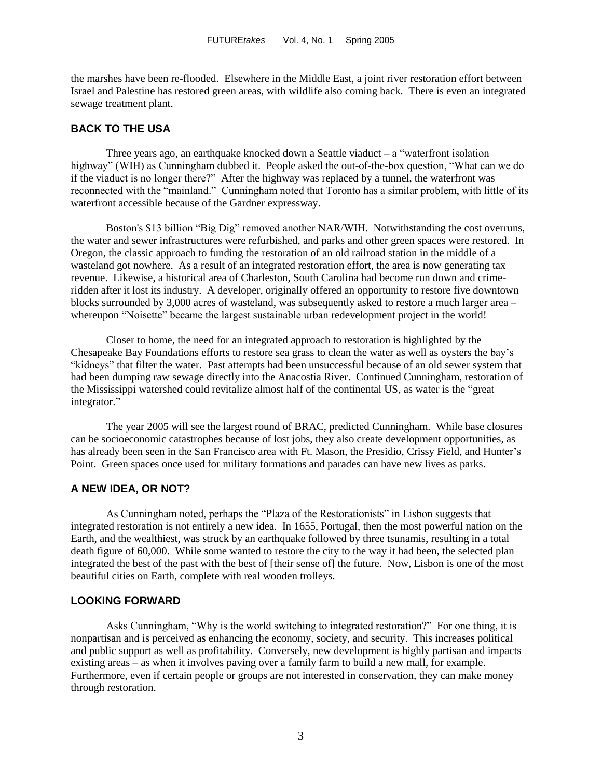the marshes have been re-flooded. Elsewhere in the Middle East, a joint river restoration effort between Israel and Palestine has restored green areas, with wildlife also coming back. There is even an integrated sewage treatment plant.

#### **BACK TO THE USA**

Three years ago, an earthquake knocked down a Seattle viaduct  $-a$  "waterfront isolation" highway" (WIH) as Cunningham dubbed it. People asked the out-of-the-box question, "What can we do if the viaduct is no longer there?" After the highway was replaced by a tunnel, the waterfront was reconnected with the "mainland." Cunningham noted that Toronto has a similar problem, with little of its waterfront accessible because of the Gardner expressway.

Boston's \$13 billion "Big Dig" removed another NAR/WIH. Notwithstanding the cost overruns, the water and sewer infrastructures were refurbished, and parks and other green spaces were restored. In Oregon, the classic approach to funding the restoration of an old railroad station in the middle of a wasteland got nowhere. As a result of an integrated restoration effort, the area is now generating tax revenue. Likewise, a historical area of Charleston, South Carolina had become run down and crimeridden after it lost its industry. A developer, originally offered an opportunity to restore five downtown blocks surrounded by 3,000 acres of wasteland, was subsequently asked to restore a much larger area – whereupon "Noisette" became the largest sustainable urban redevelopment project in the world!

Closer to home, the need for an integrated approach to restoration is highlighted by the Chesapeake Bay Foundations efforts to restore sea grass to clean the water as well as oysters the bay's "kidneys" that filter the water. Past attempts had been unsuccessful because of an old sewer system that had been dumping raw sewage directly into the Anacostia River. Continued Cunningham, restoration of the Mississippi watershed could revitalize almost half of the continental US, as water is the "great integrator."

The year 2005 will see the largest round of BRAC, predicted Cunningham. While base closures can be socioeconomic catastrophes because of lost jobs, they also create development opportunities, as has already been seen in the San Francisco area with Ft. Mason, the Presidio, Crissy Field, and Hunter's Point. Green spaces once used for military formations and parades can have new lives as parks.

#### **A NEW IDEA, OR NOT?**

As Cunningham noted, perhaps the "Plaza of the Restorationists" in Lisbon suggests that integrated restoration is not entirely a new idea. In 1655, Portugal, then the most powerful nation on the Earth, and the wealthiest, was struck by an earthquake followed by three tsunamis, resulting in a total death figure of 60,000. While some wanted to restore the city to the way it had been, the selected plan integrated the best of the past with the best of [their sense of] the future. Now, Lisbon is one of the most beautiful cities on Earth, complete with real wooden trolleys.

## **LOOKING FORWARD**

Asks Cunningham, "Why is the world switching to integrated restoration?" For one thing, it is nonpartisan and is perceived as enhancing the economy, society, and security. This increases political and public support as well as profitability. Conversely, new development is highly partisan and impacts existing areas – as when it involves paving over a family farm to build a new mall, for example. Furthermore, even if certain people or groups are not interested in conservation, they can make money through restoration.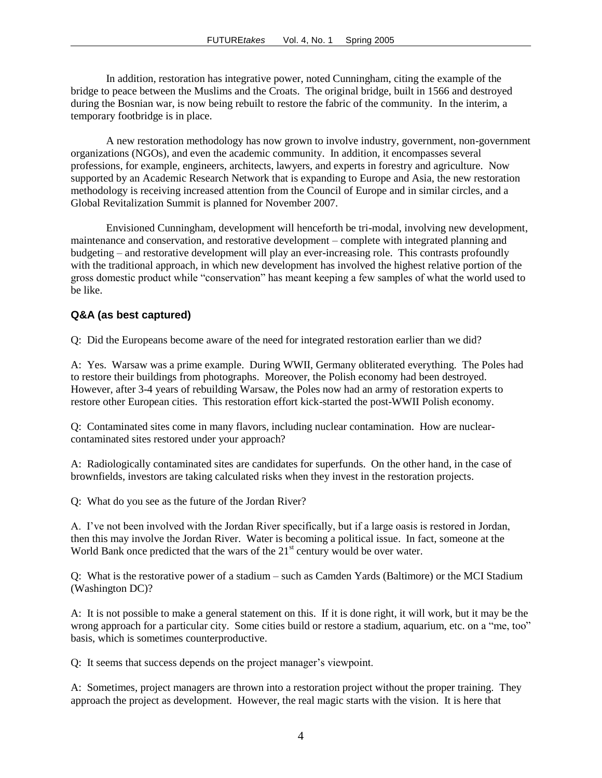In addition, restoration has integrative power, noted Cunningham, citing the example of the bridge to peace between the Muslims and the Croats. The original bridge, built in 1566 and destroyed during the Bosnian war, is now being rebuilt to restore the fabric of the community. In the interim, a temporary footbridge is in place.

A new restoration methodology has now grown to involve industry, government, non-government organizations (NGOs), and even the academic community. In addition, it encompasses several professions, for example, engineers, architects, lawyers, and experts in forestry and agriculture. Now supported by an Academic Research Network that is expanding to Europe and Asia, the new restoration methodology is receiving increased attention from the Council of Europe and in similar circles, and a Global Revitalization Summit is planned for November 2007.

Envisioned Cunningham, development will henceforth be tri-modal, involving new development, maintenance and conservation, and restorative development – complete with integrated planning and budgeting – and restorative development will play an ever-increasing role. This contrasts profoundly with the traditional approach, in which new development has involved the highest relative portion of the gross domestic product while "conservation" has meant keeping a few samples of what the world used to be like.

## **Q&A (as best captured)**

Q: Did the Europeans become aware of the need for integrated restoration earlier than we did?

A: Yes. Warsaw was a prime example. During WWII, Germany obliterated everything. The Poles had to restore their buildings from photographs. Moreover, the Polish economy had been destroyed. However, after 3-4 years of rebuilding Warsaw, the Poles now had an army of restoration experts to restore other European cities. This restoration effort kick-started the post-WWII Polish economy.

Q: Contaminated sites come in many flavors, including nuclear contamination. How are nuclearcontaminated sites restored under your approach?

A: Radiologically contaminated sites are candidates for superfunds. On the other hand, in the case of brownfields, investors are taking calculated risks when they invest in the restoration projects.

Q: What do you see as the future of the Jordan River?

A. I've not been involved with the Jordan River specifically, but if a large oasis is restored in Jordan, then this may involve the Jordan River. Water is becoming a political issue. In fact, someone at the World Bank once predicted that the wars of the  $21<sup>st</sup>$  century would be over water.

Q: What is the restorative power of a stadium – such as Camden Yards (Baltimore) or the MCI Stadium (Washington DC)?

A: It is not possible to make a general statement on this. If it is done right, it will work, but it may be the wrong approach for a particular city. Some cities build or restore a stadium, aquarium, etc. on a "me, too" basis, which is sometimes counterproductive.

Q: It seems that success depends on the project manager's viewpoint.

A: Sometimes, project managers are thrown into a restoration project without the proper training. They approach the project as development. However, the real magic starts with the vision. It is here that